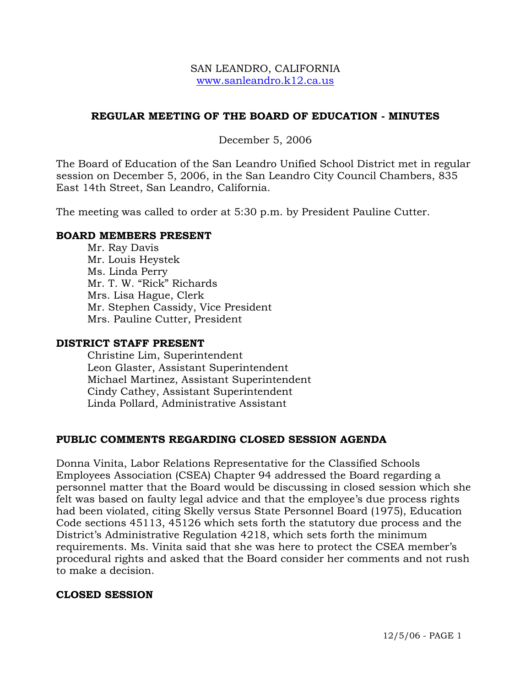#### SAN LEANDRO, CALIFORNIA www.sanleandro.k12.ca.us

## **REGULAR MEETING OF THE BOARD OF EDUCATION - MINUTES**

December 5, 2006

The Board of Education of the San Leandro Unified School District met in regular session on December 5, 2006, in the San Leandro City Council Chambers, 835 East 14th Street, San Leandro, California.

The meeting was called to order at 5:30 p.m. by President Pauline Cutter.

#### **BOARD MEMBERS PRESENT**

Mr. Ray Davis Mr. Louis Heystek Ms. Linda Perry Mr. T. W. "Rick" Richards Mrs. Lisa Hague, Clerk Mr. Stephen Cassidy, Vice President Mrs. Pauline Cutter, President

#### **DISTRICT STAFF PRESENT**

Christine Lim, Superintendent Leon Glaster, Assistant Superintendent Michael Martinez, Assistant Superintendent Cindy Cathey, Assistant Superintendent Linda Pollard, Administrative Assistant

#### **PUBLIC COMMENTS REGARDING CLOSED SESSION AGENDA**

Donna Vinita, Labor Relations Representative for the Classified Schools Employees Association (CSEA) Chapter 94 addressed the Board regarding a personnel matter that the Board would be discussing in closed session which she felt was based on faulty legal advice and that the employee's due process rights had been violated, citing Skelly versus State Personnel Board (1975), Education Code sections 45113, 45126 which sets forth the statutory due process and the District's Administrative Regulation 4218, which sets forth the minimum requirements. Ms. Vinita said that she was here to protect the CSEA member's procedural rights and asked that the Board consider her comments and not rush to make a decision.

#### **CLOSED SESSION**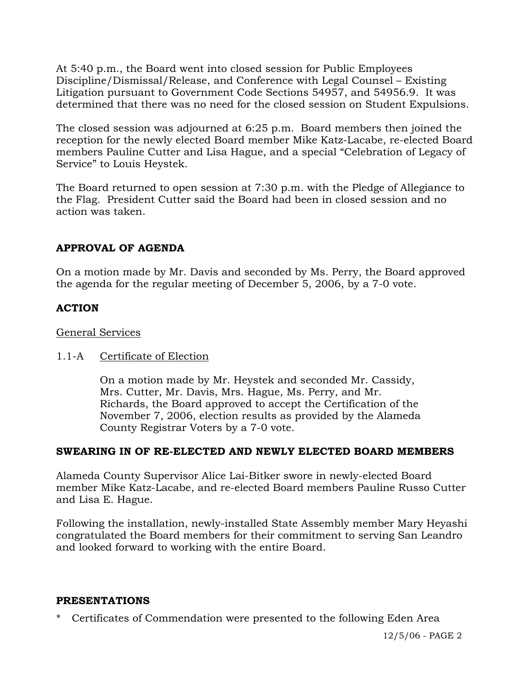At 5:40 p.m., the Board went into closed session for Public Employees Discipline/Dismissal/Release, and Conference with Legal Counsel – Existing Litigation pursuant to Government Code Sections 54957, and 54956.9. It was determined that there was no need for the closed session on Student Expulsions.

The closed session was adjourned at 6:25 p.m. Board members then joined the reception for the newly elected Board member Mike Katz-Lacabe, re-elected Board members Pauline Cutter and Lisa Hague, and a special "Celebration of Legacy of Service" to Louis Heystek.

The Board returned to open session at 7:30 p.m. with the Pledge of Allegiance to the Flag. President Cutter said the Board had been in closed session and no action was taken.

# **APPROVAL OF AGENDA**

On a motion made by Mr. Davis and seconded by Ms. Perry, the Board approved the agenda for the regular meeting of December 5, 2006, by a 7-0 vote.

## **ACTION**

### General Services

## 1.1-A Certificate of Election

On a motion made by Mr. Heystek and seconded Mr. Cassidy, Mrs. Cutter, Mr. Davis, Mrs. Hague, Ms. Perry, and Mr. Richards, the Board approved to accept the Certification of the November 7, 2006, election results as provided by the Alameda County Registrar Voters by a 7-0 vote.

## **SWEARING IN OF RE-ELECTED AND NEWLY ELECTED BOARD MEMBERS**

Alameda County Supervisor Alice Lai-Bitker swore in newly-elected Board member Mike Katz-Lacabe, and re-elected Board members Pauline Russo Cutter and Lisa E. Hague.

Following the installation, newly-installed State Assembly member Mary Heyashi congratulated the Board members for their commitment to serving San Leandro and looked forward to working with the entire Board.

#### **PRESENTATIONS**

\* Certificates of Commendation were presented to the following Eden Area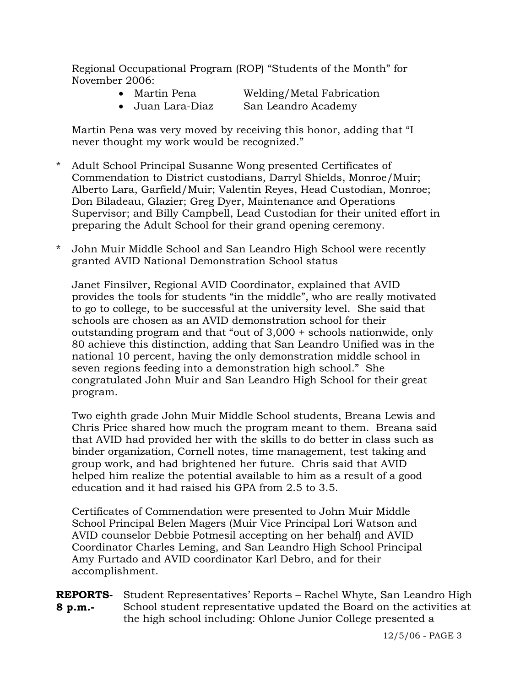Regional Occupational Program (ROP) "Students of the Month" for November 2006:

| Martin Pena | Welding/Metal Fabrication |
|-------------|---------------------------|
|             |                           |

• Juan Lara-Diaz San Leandro Academy

 Martin Pena was very moved by receiving this honor, adding that "I never thought my work would be recognized."

- \* Adult School Principal Susanne Wong presented Certificates of Commendation to District custodians, Darryl Shields, Monroe/Muir; Alberto Lara, Garfield/Muir; Valentin Reyes, Head Custodian, Monroe; Don Biladeau, Glazier; Greg Dyer, Maintenance and Operations Supervisor; and Billy Campbell, Lead Custodian for their united effort in preparing the Adult School for their grand opening ceremony.
- \* John Muir Middle School and San Leandro High School were recently granted AVID National Demonstration School status

Janet Finsilver, Regional AVID Coordinator, explained that AVID provides the tools for students "in the middle", who are really motivated to go to college, to be successful at the university level. She said that schools are chosen as an AVID demonstration school for their outstanding program and that "out of 3,000 + schools nationwide, only 80 achieve this distinction, adding that San Leandro Unified was in the national 10 percent, having the only demonstration middle school in seven regions feeding into a demonstration high school." She congratulated John Muir and San Leandro High School for their great program.

Two eighth grade John Muir Middle School students, Breana Lewis and Chris Price shared how much the program meant to them. Breana said that AVID had provided her with the skills to do better in class such as binder organization, Cornell notes, time management, test taking and group work, and had brightened her future. Chris said that AVID helped him realize the potential available to him as a result of a good education and it had raised his GPA from 2.5 to 3.5.

 Certificates of Commendation were presented to John Muir Middle School Principal Belen Magers (Muir Vice Principal Lori Watson and AVID counselor Debbie Potmesil accepting on her behalf) and AVID Coordinator Charles Leming, and San Leandro High School Principal Amy Furtado and AVID coordinator Karl Debro, and for their accomplishment.

**REPORTS-**Student Representatives' Reports – Rachel Whyte, San Leandro High **8 p.m.-**  School student representative updated the Board on the activities at the high school including: Ohlone Junior College presented a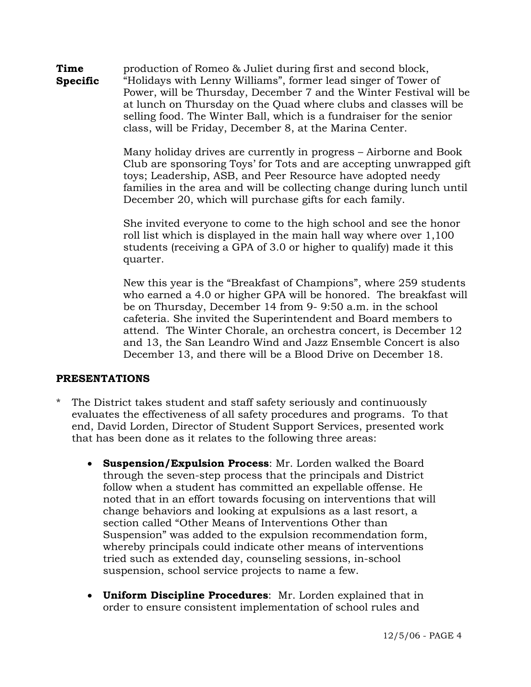**Time Specific**  production of Romeo & Juliet during first and second block, "Holidays with Lenny Williams", former lead singer of Tower of Power, will be Thursday, December 7 and the Winter Festival will be at lunch on Thursday on the Quad where clubs and classes will be selling food. The Winter Ball, which is a fundraiser for the senior class, will be Friday, December 8, at the Marina Center.

> Many holiday drives are currently in progress – Airborne and Book Club are sponsoring Toys' for Tots and are accepting unwrapped gift toys; Leadership, ASB, and Peer Resource have adopted needy families in the area and will be collecting change during lunch until December 20, which will purchase gifts for each family.

She invited everyone to come to the high school and see the honor roll list which is displayed in the main hall way where over 1,100 students (receiving a GPA of 3.0 or higher to qualify) made it this quarter.

New this year is the "Breakfast of Champions", where 259 students who earned a 4.0 or higher GPA will be honored. The breakfast will be on Thursday, December 14 from 9- 9:50 a.m. in the school cafeteria. She invited the Superintendent and Board members to attend. The Winter Chorale, an orchestra concert, is December 12 and 13, the San Leandro Wind and Jazz Ensemble Concert is also December 13, and there will be a Blood Drive on December 18.

## **PRESENTATIONS**

- The District takes student and staff safety seriously and continuously evaluates the effectiveness of all safety procedures and programs. To that end, David Lorden, Director of Student Support Services, presented work that has been done as it relates to the following three areas:
	- **Suspension/Expulsion Process**: Mr. Lorden walked the Board through the seven-step process that the principals and District follow when a student has committed an expellable offense. He noted that in an effort towards focusing on interventions that will change behaviors and looking at expulsions as a last resort, a section called "Other Means of Interventions Other than Suspension" was added to the expulsion recommendation form, whereby principals could indicate other means of interventions tried such as extended day, counseling sessions, in-school suspension, school service projects to name a few.
	- **Uniform Discipline Procedures**: Mr. Lorden explained that in order to ensure consistent implementation of school rules and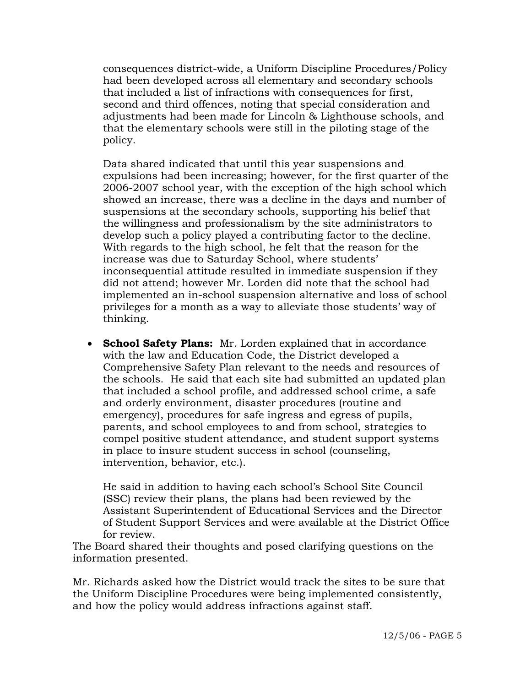consequences district-wide, a Uniform Discipline Procedures/Policy had been developed across all elementary and secondary schools that included a list of infractions with consequences for first, second and third offences, noting that special consideration and adjustments had been made for Lincoln & Lighthouse schools, and that the elementary schools were still in the piloting stage of the policy.

Data shared indicated that until this year suspensions and expulsions had been increasing; however, for the first quarter of the 2006-2007 school year, with the exception of the high school which showed an increase, there was a decline in the days and number of suspensions at the secondary schools, supporting his belief that the willingness and professionalism by the site administrators to develop such a policy played a contributing factor to the decline. With regards to the high school, he felt that the reason for the increase was due to Saturday School, where students' inconsequential attitude resulted in immediate suspension if they did not attend; however Mr. Lorden did note that the school had implemented an in-school suspension alternative and loss of school privileges for a month as a way to alleviate those students' way of thinking.

• **School Safety Plans:** Mr. Lorden explained that in accordance with the law and Education Code, the District developed a Comprehensive Safety Plan relevant to the needs and resources of the schools. He said that each site had submitted an updated plan that included a school profile, and addressed school crime, a safe and orderly environment, disaster procedures (routine and emergency), procedures for safe ingress and egress of pupils, parents, and school employees to and from school, strategies to compel positive student attendance, and student support systems in place to insure student success in school (counseling, intervention, behavior, etc.).

He said in addition to having each school's School Site Council (SSC) review their plans, the plans had been reviewed by the Assistant Superintendent of Educational Services and the Director of Student Support Services and were available at the District Office for review.

 The Board shared their thoughts and posed clarifying questions on the information presented.

 Mr. Richards asked how the District would track the sites to be sure that the Uniform Discipline Procedures were being implemented consistently, and how the policy would address infractions against staff.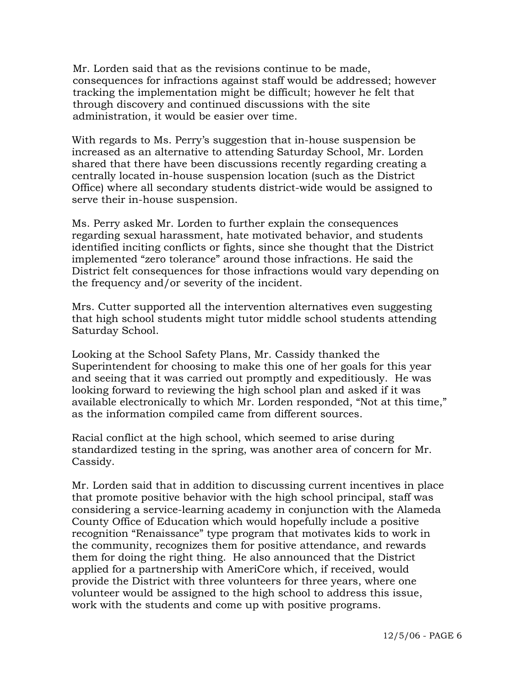Mr. Lorden said that as the revisions continue to be made, consequences for infractions against staff would be addressed; however tracking the implementation might be difficult; however he felt that through discovery and continued discussions with the site administration, it would be easier over time.

With regards to Ms. Perry's suggestion that in-house suspension be increased as an alternative to attending Saturday School, Mr. Lorden shared that there have been discussions recently regarding creating a centrally located in-house suspension location (such as the District Office) where all secondary students district-wide would be assigned to serve their in-house suspension.

Ms. Perry asked Mr. Lorden to further explain the consequences regarding sexual harassment, hate motivated behavior, and students identified inciting conflicts or fights, since she thought that the District implemented "zero tolerance" around those infractions. He said the District felt consequences for those infractions would vary depending on the frequency and/or severity of the incident.

Mrs. Cutter supported all the intervention alternatives even suggesting that high school students might tutor middle school students attending Saturday School.

Looking at the School Safety Plans, Mr. Cassidy thanked the Superintendent for choosing to make this one of her goals for this year and seeing that it was carried out promptly and expeditiously. He was looking forward to reviewing the high school plan and asked if it was available electronically to which Mr. Lorden responded, "Not at this time," as the information compiled came from different sources.

Racial conflict at the high school, which seemed to arise during standardized testing in the spring, was another area of concern for Mr. Cassidy.

Mr. Lorden said that in addition to discussing current incentives in place that promote positive behavior with the high school principal, staff was considering a service-learning academy in conjunction with the Alameda County Office of Education which would hopefully include a positive recognition "Renaissance" type program that motivates kids to work in the community, recognizes them for positive attendance, and rewards them for doing the right thing. He also announced that the District applied for a partnership with AmeriCore which, if received, would provide the District with three volunteers for three years, where one volunteer would be assigned to the high school to address this issue, work with the students and come up with positive programs.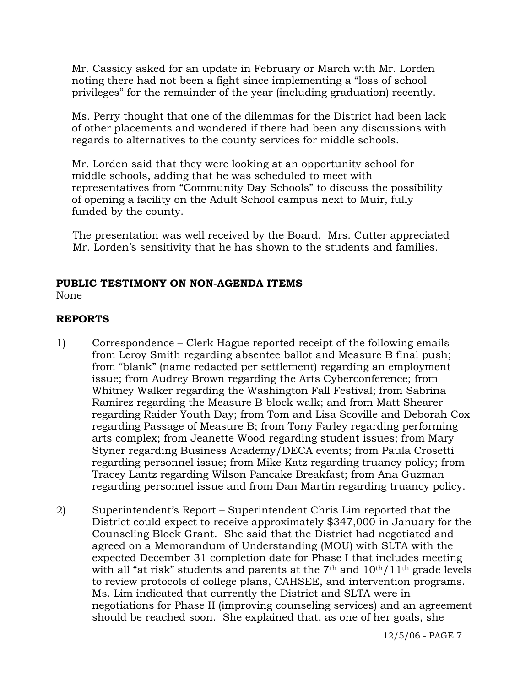Mr. Cassidy asked for an update in February or March with Mr. Lorden noting there had not been a fight since implementing a "loss of school privileges" for the remainder of the year (including graduation) recently.

Ms. Perry thought that one of the dilemmas for the District had been lack of other placements and wondered if there had been any discussions with regards to alternatives to the county services for middle schools.

Mr. Lorden said that they were looking at an opportunity school for middle schools, adding that he was scheduled to meet with representatives from "Community Day Schools" to discuss the possibility of opening a facility on the Adult School campus next to Muir, fully funded by the county.

 The presentation was well received by the Board. Mrs. Cutter appreciated Mr. Lorden's sensitivity that he has shown to the students and families.

# **PUBLIC TESTIMONY ON NON-AGENDA ITEMS**

None

# **REPORTS**

- 1) Correspondence Clerk Hague reported receipt of the following emails from Leroy Smith regarding absentee ballot and Measure B final push; from "blank" (name redacted per settlement) regarding an employment issue; from Audrey Brown regarding the Arts Cyberconference; from Whitney Walker regarding the Washington Fall Festival; from Sabrina Ramirez regarding the Measure B block walk; and from Matt Shearer regarding Raider Youth Day; from Tom and Lisa Scoville and Deborah Cox regarding Passage of Measure B; from Tony Farley regarding performing arts complex; from Jeanette Wood regarding student issues; from Mary Styner regarding Business Academy/DECA events; from Paula Crosetti regarding personnel issue; from Mike Katz regarding truancy policy; from Tracey Lantz regarding Wilson Pancake Breakfast; from Ana Guzman regarding personnel issue and from Dan Martin regarding truancy policy.
- 2) Superintendent's Report Superintendent Chris Lim reported that the District could expect to receive approximately \$347,000 in January for the Counseling Block Grant. She said that the District had negotiated and agreed on a Memorandum of Understanding (MOU) with SLTA with the expected December 31 completion date for Phase I that includes meeting with all "at risk" students and parents at the  $7<sup>th</sup>$  and  $10<sup>th</sup>/11<sup>th</sup>$  grade levels to review protocols of college plans, CAHSEE, and intervention programs. Ms. Lim indicated that currently the District and SLTA were in negotiations for Phase II (improving counseling services) and an agreement should be reached soon. She explained that, as one of her goals, she

12/5/06 - PAGE 7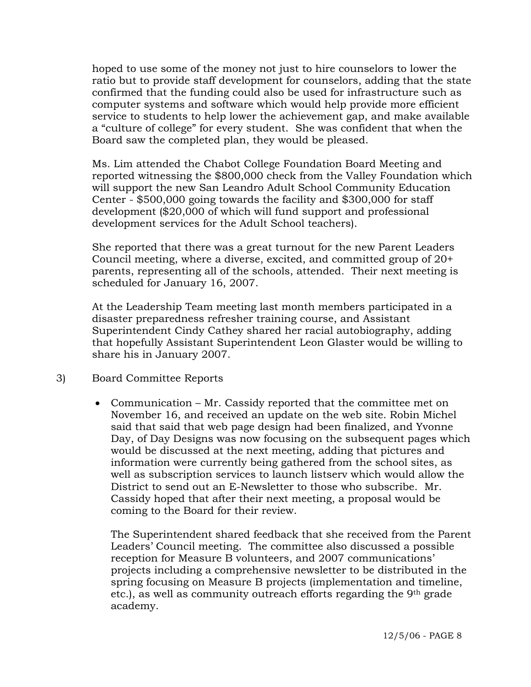hoped to use some of the money not just to hire counselors to lower the ratio but to provide staff development for counselors, adding that the state confirmed that the funding could also be used for infrastructure such as computer systems and software which would help provide more efficient service to students to help lower the achievement gap, and make available a "culture of college" for every student. She was confident that when the Board saw the completed plan, they would be pleased.

Ms. Lim attended the Chabot College Foundation Board Meeting and reported witnessing the \$800,000 check from the Valley Foundation which will support the new San Leandro Adult School Community Education Center - \$500,000 going towards the facility and \$300,000 for staff development (\$20,000 of which will fund support and professional development services for the Adult School teachers).

She reported that there was a great turnout for the new Parent Leaders Council meeting, where a diverse, excited, and committed group of 20+ parents, representing all of the schools, attended. Their next meeting is scheduled for January 16, 2007.

At the Leadership Team meeting last month members participated in a disaster preparedness refresher training course, and Assistant Superintendent Cindy Cathey shared her racial autobiography, adding that hopefully Assistant Superintendent Leon Glaster would be willing to share his in January 2007.

- 3) Board Committee Reports
	- Communication Mr. Cassidy reported that the committee met on November 16, and received an update on the web site. Robin Michel said that said that web page design had been finalized, and Yvonne Day, of Day Designs was now focusing on the subsequent pages which would be discussed at the next meeting, adding that pictures and information were currently being gathered from the school sites, as well as subscription services to launch listserv which would allow the District to send out an E-Newsletter to those who subscribe. Mr. Cassidy hoped that after their next meeting, a proposal would be coming to the Board for their review.

The Superintendent shared feedback that she received from the Parent Leaders' Council meeting. The committee also discussed a possible reception for Measure B volunteers, and 2007 communications' projects including a comprehensive newsletter to be distributed in the spring focusing on Measure B projects (implementation and timeline, etc.), as well as community outreach efforts regarding the 9th grade academy.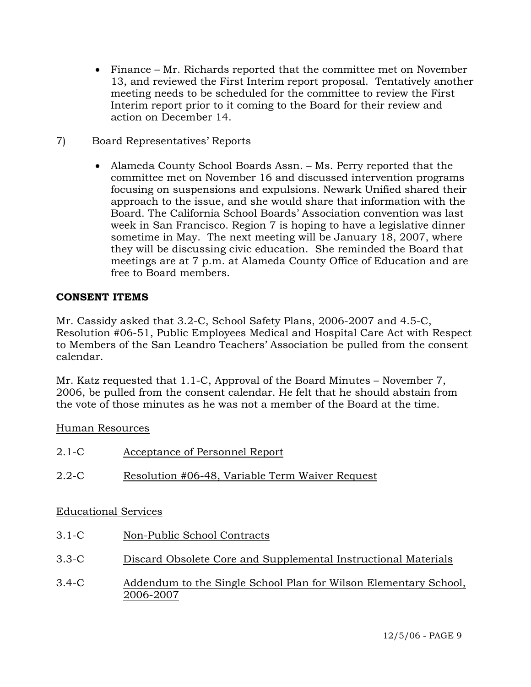- Finance Mr. Richards reported that the committee met on November 13, and reviewed the First Interim report proposal. Tentatively another meeting needs to be scheduled for the committee to review the First Interim report prior to it coming to the Board for their review and action on December 14.
- 7) Board Representatives' Reports
	- Alameda County School Boards Assn. Ms. Perry reported that the committee met on November 16 and discussed intervention programs focusing on suspensions and expulsions. Newark Unified shared their approach to the issue, and she would share that information with the Board. The California School Boards' Association convention was last week in San Francisco. Region 7 is hoping to have a legislative dinner sometime in May. The next meeting will be January 18, 2007, where they will be discussing civic education. She reminded the Board that meetings are at 7 p.m. at Alameda County Office of Education and are free to Board members.

## **CONSENT ITEMS**

Mr. Cassidy asked that 3.2-C, School Safety Plans, 2006-2007 and 4.5-C, Resolution #06-51, Public Employees Medical and Hospital Care Act with Respect to Members of the San Leandro Teachers' Association be pulled from the consent calendar.

Mr. Katz requested that 1.1-C, Approval of the Board Minutes – November 7, 2006, be pulled from the consent calendar. He felt that he should abstain from the vote of those minutes as he was not a member of the Board at the time.

## Human Resources

2006-2007

| $2.1-C$   | Acceptance of Personnel Report                                   |
|-----------|------------------------------------------------------------------|
| $2.2 - C$ | Resolution #06-48, Variable Term Waiver Request                  |
|           | <b>Educational Services</b>                                      |
| $3.1-C$   | Non-Public School Contracts                                      |
| $3.3-C$   | Discard Obsolete Core and Supplemental Instructional Materials   |
| $3.4-C$   | Addendum to the Single School Plan for Wilson Elementary School, |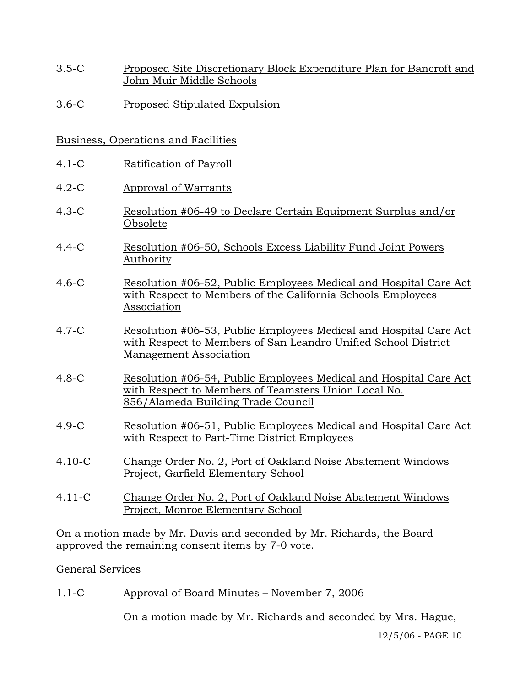- 3.5-C Proposed Site Discretionary Block Expenditure Plan for Bancroft and John Muir Middle Schools
- 3.6-C Proposed Stipulated Expulsion

# Business, Operations and Facilities

- 4.1-C Ratification of Payroll
- 4.2-C Approval of Warrants
- 4.3-C Resolution #06-49 to Declare Certain Equipment Surplus and/or Obsolete
- 4.4-C Resolution #06-50, Schools Excess Liability Fund Joint Powers Authority
- 4.6-C Resolution #06-52, Public Employees Medical and Hospital Care Act with Respect to Members of the California Schools Employees Association
- 4.7-C Resolution #06-53, Public Employees Medical and Hospital Care Act with Respect to Members of San Leandro Unified School District Management Association
- 4.8-C Resolution #06-54, Public Employees Medical and Hospital Care Act with Respect to Members of Teamsters Union Local No. 856/Alameda Building Trade Council
- 4.9-C Resolution #06-51, Public Employees Medical and Hospital Care Act with Respect to Part-Time District Employees
- 4.10-C Change Order No. 2, Port of Oakland Noise Abatement Windows Project, Garfield Elementary School
- 4.11-C Change Order No. 2, Port of Oakland Noise Abatement Windows Project, Monroe Elementary School

On a motion made by Mr. Davis and seconded by Mr. Richards, the Board approved the remaining consent items by 7-0 vote.

## General Services

1.1-C Approval of Board Minutes – November 7, 2006

On a motion made by Mr. Richards and seconded by Mrs. Hague,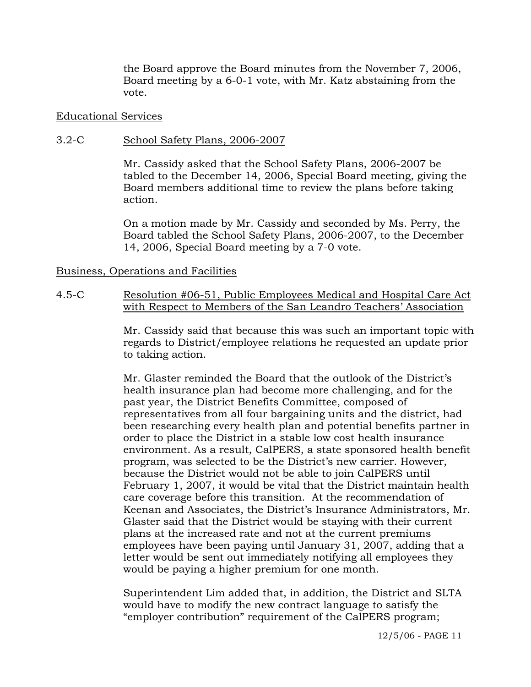the Board approve the Board minutes from the November 7, 2006, Board meeting by a 6-0-1 vote, with Mr. Katz abstaining from the vote.

#### Educational Services

#### 3.2-C School Safety Plans, 2006-2007

Mr. Cassidy asked that the School Safety Plans, 2006-2007 be tabled to the December 14, 2006, Special Board meeting, giving the Board members additional time to review the plans before taking action.

On a motion made by Mr. Cassidy and seconded by Ms. Perry, the Board tabled the School Safety Plans, 2006-2007, to the December 14, 2006, Special Board meeting by a 7-0 vote.

#### Business, Operations and Facilities

4.5-C Resolution #06-51, Public Employees Medical and Hospital Care Act with Respect to Members of the San Leandro Teachers' Association

> Mr. Cassidy said that because this was such an important topic with regards to District/employee relations he requested an update prior to taking action.

> Mr. Glaster reminded the Board that the outlook of the District's health insurance plan had become more challenging, and for the past year, the District Benefits Committee, composed of representatives from all four bargaining units and the district, had been researching every health plan and potential benefits partner in order to place the District in a stable low cost health insurance environment. As a result, CalPERS, a state sponsored health benefit program, was selected to be the District's new carrier. However, because the District would not be able to join CalPERS until February 1, 2007, it would be vital that the District maintain health care coverage before this transition. At the recommendation of Keenan and Associates, the District's Insurance Administrators, Mr. Glaster said that the District would be staying with their current plans at the increased rate and not at the current premiums employees have been paying until January 31, 2007, adding that a letter would be sent out immediately notifying all employees they would be paying a higher premium for one month.

Superintendent Lim added that, in addition, the District and SLTA would have to modify the new contract language to satisfy the "employer contribution" requirement of the CalPERS program;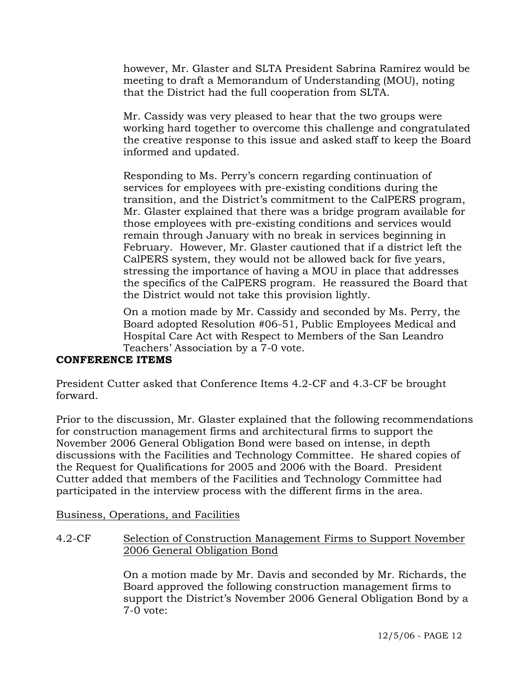however, Mr. Glaster and SLTA President Sabrina Ramirez would be meeting to draft a Memorandum of Understanding (MOU), noting that the District had the full cooperation from SLTA.

Mr. Cassidy was very pleased to hear that the two groups were working hard together to overcome this challenge and congratulated the creative response to this issue and asked staff to keep the Board informed and updated.

Responding to Ms. Perry's concern regarding continuation of services for employees with pre-existing conditions during the transition, and the District's commitment to the CalPERS program, Mr. Glaster explained that there was a bridge program available for those employees with pre-existing conditions and services would remain through January with no break in services beginning in February. However, Mr. Glaster cautioned that if a district left the CalPERS system, they would not be allowed back for five years, stressing the importance of having a MOU in place that addresses the specifics of the CalPERS program. He reassured the Board that the District would not take this provision lightly.

On a motion made by Mr. Cassidy and seconded by Ms. Perry, the Board adopted Resolution #06-51, Public Employees Medical and Hospital Care Act with Respect to Members of the San Leandro Teachers' Association by a 7-0 vote.

## **CONFERENCE ITEMS**

President Cutter asked that Conference Items 4.2-CF and 4.3-CF be brought forward.

Prior to the discussion, Mr. Glaster explained that the following recommendations for construction management firms and architectural firms to support the November 2006 General Obligation Bond were based on intense, in depth discussions with the Facilities and Technology Committee. He shared copies of the Request for Qualifications for 2005 and 2006 with the Board. President Cutter added that members of the Facilities and Technology Committee had participated in the interview process with the different firms in the area.

Business, Operations, and Facilities

4.2-CF Selection of Construction Management Firms to Support November 2006 General Obligation Bond

> On a motion made by Mr. Davis and seconded by Mr. Richards, the Board approved the following construction management firms to support the District's November 2006 General Obligation Bond by a 7-0 vote: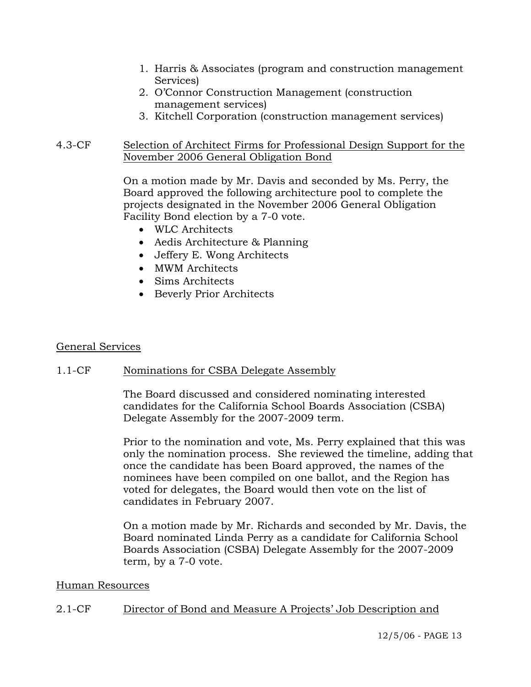- 1. Harris & Associates (program and construction management Services)
- 2. O'Connor Construction Management (construction management services)
- 3. Kitchell Corporation (construction management services)

### 4.3-CF Selection of Architect Firms for Professional Design Support for the November 2006 General Obligation Bond

On a motion made by Mr. Davis and seconded by Ms. Perry, the Board approved the following architecture pool to complete the projects designated in the November 2006 General Obligation Facility Bond election by a 7-0 vote.

- WLC Architects
- Aedis Architecture & Planning
- Jeffery E. Wong Architects
- MWM Architects
- Sims Architects
- Beverly Prior Architects

#### General Services

## 1.1-CF Nominations for CSBA Delegate Assembly

The Board discussed and considered nominating interested candidates for the California School Boards Association (CSBA) Delegate Assembly for the 2007-2009 term.

Prior to the nomination and vote, Ms. Perry explained that this was only the nomination process. She reviewed the timeline, adding that once the candidate has been Board approved, the names of the nominees have been compiled on one ballot, and the Region has voted for delegates, the Board would then vote on the list of candidates in February 2007.

On a motion made by Mr. Richards and seconded by Mr. Davis, the Board nominated Linda Perry as a candidate for California School Boards Association (CSBA) Delegate Assembly for the 2007-2009 term, by a 7-0 vote.

#### Human Resources

## 2.1-CF Director of Bond and Measure A Projects' Job Description and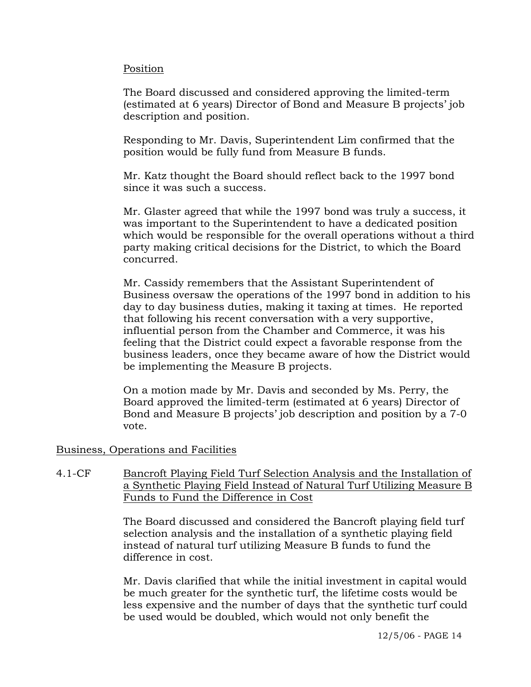#### Position

The Board discussed and considered approving the limited-term (estimated at 6 years) Director of Bond and Measure B projects' job description and position.

Responding to Mr. Davis, Superintendent Lim confirmed that the position would be fully fund from Measure B funds.

Mr. Katz thought the Board should reflect back to the 1997 bond since it was such a success.

Mr. Glaster agreed that while the 1997 bond was truly a success, it was important to the Superintendent to have a dedicated position which would be responsible for the overall operations without a third party making critical decisions for the District, to which the Board concurred.

Mr. Cassidy remembers that the Assistant Superintendent of Business oversaw the operations of the 1997 bond in addition to his day to day business duties, making it taxing at times. He reported that following his recent conversation with a very supportive, influential person from the Chamber and Commerce, it was his feeling that the District could expect a favorable response from the business leaders, once they became aware of how the District would be implementing the Measure B projects.

On a motion made by Mr. Davis and seconded by Ms. Perry, the Board approved the limited-term (estimated at 6 years) Director of Bond and Measure B projects' job description and position by a 7-0 vote.

## Business, Operations and Facilities

4.1-CF Bancroft Playing Field Turf Selection Analysis and the Installation of a Synthetic Playing Field Instead of Natural Turf Utilizing Measure B Funds to Fund the Difference in Cost

> The Board discussed and considered the Bancroft playing field turf selection analysis and the installation of a synthetic playing field instead of natural turf utilizing Measure B funds to fund the difference in cost.

> Mr. Davis clarified that while the initial investment in capital would be much greater for the synthetic turf, the lifetime costs would be less expensive and the number of days that the synthetic turf could be used would be doubled, which would not only benefit the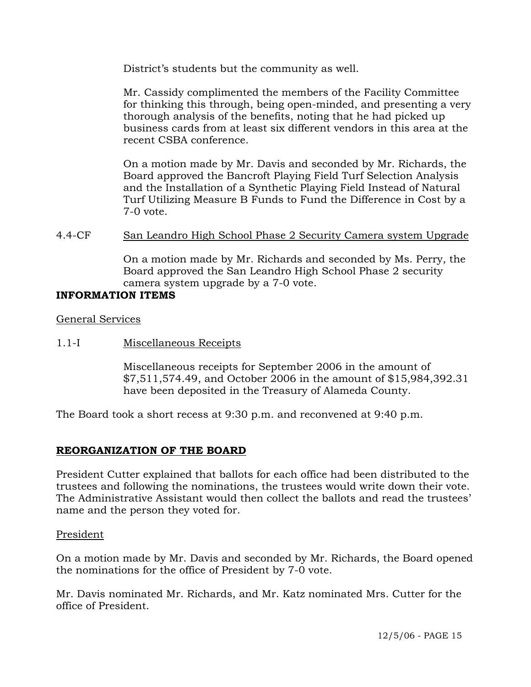District's students but the community as well.

Mr. Cassidy complimented the members of the Facility Committee for thinking this through, being open-minded, and presenting a very thorough analysis of the benefits, noting that he had picked up business cards from at least six different vendors in this area at the recent CSBA conference.

On a motion made by Mr. Davis and seconded by Mr. Richards, the Board approved the Bancroft Playing Field Turf Selection Analysis and the Installation of a Synthetic Playing Field Instead of Natural Turf Utilizing Measure B Funds to Fund the Difference in Cost by a 7-0 vote.

## 4.4-CF San Leandro High School Phase 2 Security Camera system Upgrade

On a motion made by Mr. Richards and seconded by Ms. Perry, the Board approved the San Leandro High School Phase 2 security camera system upgrade by a 7-0 vote.

## **INFORMATION ITEMS**

General Services

### 1.1-I Miscellaneous Receipts

Miscellaneous receipts for September 2006 in the amount of \$7,511,574.49, and October 2006 in the amount of \$15,984,392.31 have been deposited in the Treasury of Alameda County.

The Board took a short recess at 9:30 p.m. and reconvened at 9:40 p.m.

## **REORGANIZATION OF THE BOARD**

President Cutter explained that ballots for each office had been distributed to the trustees and following the nominations, the trustees would write down their vote. The Administrative Assistant would then collect the ballots and read the trustees' name and the person they voted for.

#### President

On a motion made by Mr. Davis and seconded by Mr. Richards, the Board opened the nominations for the office of President by 7-0 vote.

Mr. Davis nominated Mr. Richards, and Mr. Katz nominated Mrs. Cutter for the office of President.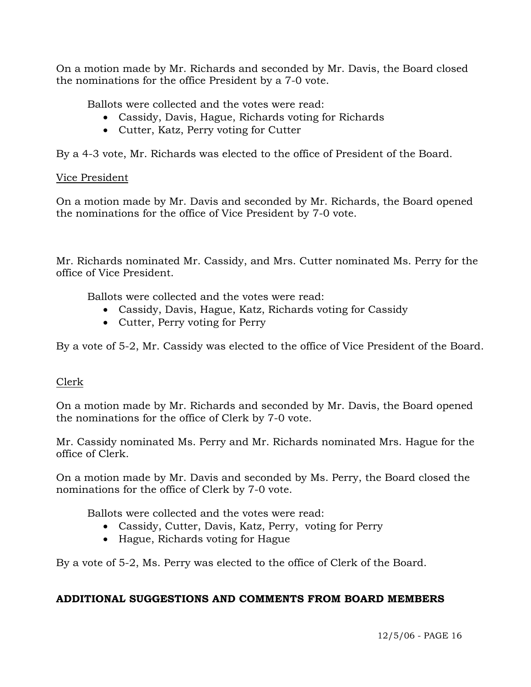On a motion made by Mr. Richards and seconded by Mr. Davis, the Board closed the nominations for the office President by a 7-0 vote.

Ballots were collected and the votes were read:

- Cassidy, Davis, Hague, Richards voting for Richards
- Cutter, Katz, Perry voting for Cutter

By a 4-3 vote, Mr. Richards was elected to the office of President of the Board.

## Vice President

On a motion made by Mr. Davis and seconded by Mr. Richards, the Board opened the nominations for the office of Vice President by 7-0 vote.

Mr. Richards nominated Mr. Cassidy, and Mrs. Cutter nominated Ms. Perry for the office of Vice President.

Ballots were collected and the votes were read:

- Cassidy, Davis, Hague, Katz, Richards voting for Cassidy
- Cutter, Perry voting for Perry

By a vote of 5-2, Mr. Cassidy was elected to the office of Vice President of the Board.

# Clerk

On a motion made by Mr. Richards and seconded by Mr. Davis, the Board opened the nominations for the office of Clerk by 7-0 vote.

Mr. Cassidy nominated Ms. Perry and Mr. Richards nominated Mrs. Hague for the office of Clerk.

On a motion made by Mr. Davis and seconded by Ms. Perry, the Board closed the nominations for the office of Clerk by 7-0 vote.

Ballots were collected and the votes were read:

- Cassidy, Cutter, Davis, Katz, Perry, voting for Perry
- Hague, Richards voting for Hague

By a vote of 5-2, Ms. Perry was elected to the office of Clerk of the Board.

# **ADDITIONAL SUGGESTIONS AND COMMENTS FROM BOARD MEMBERS**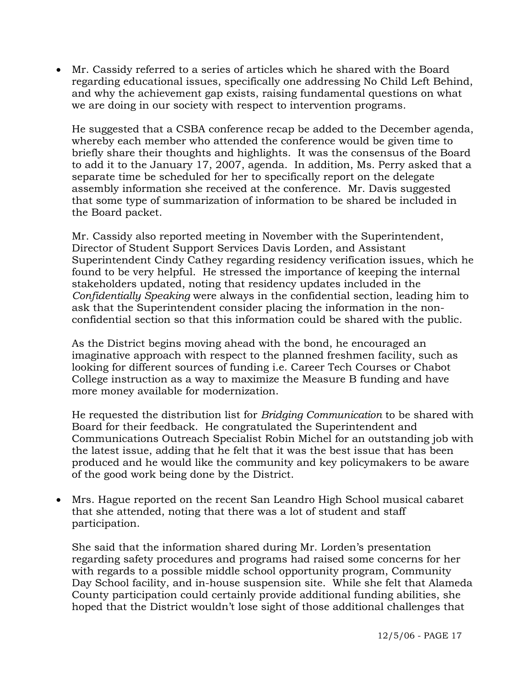• Mr. Cassidy referred to a series of articles which he shared with the Board regarding educational issues, specifically one addressing No Child Left Behind, and why the achievement gap exists, raising fundamental questions on what we are doing in our society with respect to intervention programs.

 He suggested that a CSBA conference recap be added to the December agenda, whereby each member who attended the conference would be given time to briefly share their thoughts and highlights. It was the consensus of the Board to add it to the January 17, 2007, agenda. In addition, Ms. Perry asked that a separate time be scheduled for her to specifically report on the delegate assembly information she received at the conference. Mr. Davis suggested that some type of summarization of information to be shared be included in the Board packet.

Mr. Cassidy also reported meeting in November with the Superintendent, Director of Student Support Services Davis Lorden, and Assistant Superintendent Cindy Cathey regarding residency verification issues, which he found to be very helpful. He stressed the importance of keeping the internal stakeholders updated, noting that residency updates included in the *Confidentially Speaking* were always in the confidential section, leading him to ask that the Superintendent consider placing the information in the nonconfidential section so that this information could be shared with the public.

As the District begins moving ahead with the bond, he encouraged an imaginative approach with respect to the planned freshmen facility, such as looking for different sources of funding i.e. Career Tech Courses or Chabot College instruction as a way to maximize the Measure B funding and have more money available for modernization.

He requested the distribution list for *Bridging Communication* to be shared with Board for their feedback. He congratulated the Superintendent and Communications Outreach Specialist Robin Michel for an outstanding job with the latest issue, adding that he felt that it was the best issue that has been produced and he would like the community and key policymakers to be aware of the good work being done by the District.

• Mrs. Hague reported on the recent San Leandro High School musical cabaret that she attended, noting that there was a lot of student and staff participation.

She said that the information shared during Mr. Lorden's presentation regarding safety procedures and programs had raised some concerns for her with regards to a possible middle school opportunity program, Community Day School facility, and in-house suspension site. While she felt that Alameda County participation could certainly provide additional funding abilities, she hoped that the District wouldn't lose sight of those additional challenges that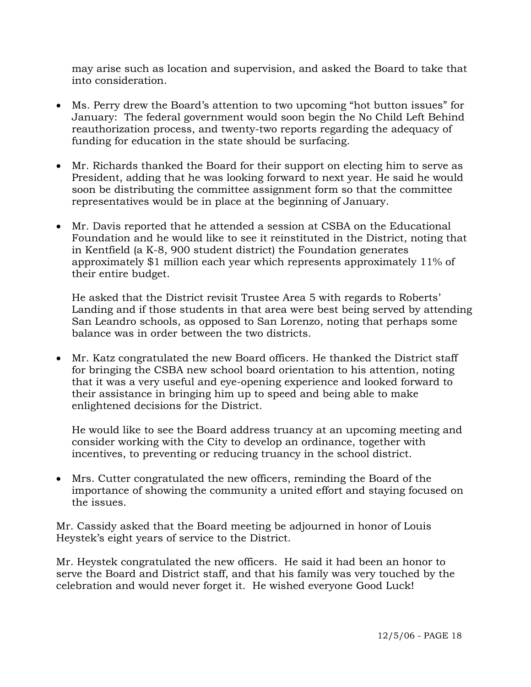may arise such as location and supervision, and asked the Board to take that into consideration.

- Ms. Perry drew the Board's attention to two upcoming "hot button issues" for January: The federal government would soon begin the No Child Left Behind reauthorization process, and twenty-two reports regarding the adequacy of funding for education in the state should be surfacing.
- Mr. Richards thanked the Board for their support on electing him to serve as President, adding that he was looking forward to next year. He said he would soon be distributing the committee assignment form so that the committee representatives would be in place at the beginning of January.
- Mr. Davis reported that he attended a session at CSBA on the Educational Foundation and he would like to see it reinstituted in the District, noting that in Kentfield (a K-8, 900 student district) the Foundation generates approximately \$1 million each year which represents approximately 11% of their entire budget.

He asked that the District revisit Trustee Area 5 with regards to Roberts' Landing and if those students in that area were best being served by attending San Leandro schools, as opposed to San Lorenzo, noting that perhaps some balance was in order between the two districts.

• Mr. Katz congratulated the new Board officers. He thanked the District staff for bringing the CSBA new school board orientation to his attention, noting that it was a very useful and eye-opening experience and looked forward to their assistance in bringing him up to speed and being able to make enlightened decisions for the District.

He would like to see the Board address truancy at an upcoming meeting and consider working with the City to develop an ordinance, together with incentives, to preventing or reducing truancy in the school district.

• Mrs. Cutter congratulated the new officers, reminding the Board of the importance of showing the community a united effort and staying focused on the issues.

Mr. Cassidy asked that the Board meeting be adjourned in honor of Louis Heystek's eight years of service to the District.

Mr. Heystek congratulated the new officers. He said it had been an honor to serve the Board and District staff, and that his family was very touched by the celebration and would never forget it. He wished everyone Good Luck!